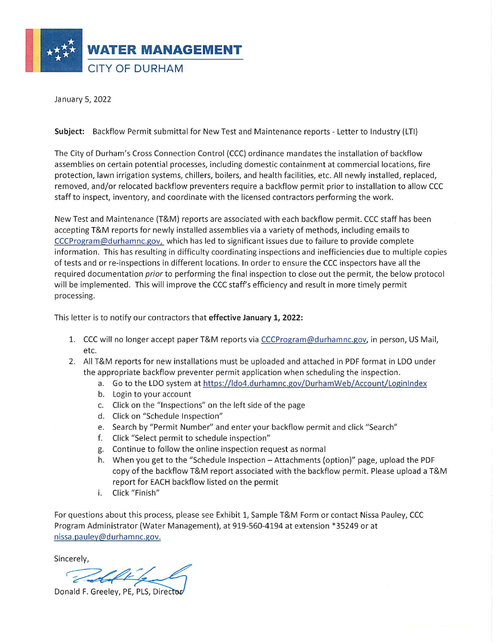

January 5, 2022

## Subject: Backflow Permit submittal for New Test and Maintenance reports - Letter to Industry (LTI)

The City of Durham's Cross Connection Control (CCC) ordinance mandates the installation of backflow assemblies on certain potential processes, including domestic containment at commercial locations, fire protection, lawn irrigation systems, chillers, boilers, and health facilities, etc. All newly installed, replaced, removed, and/or relocated backflow preventers require a backflow permit prior to installation to allow CCC staff to inspect, inventory, and coordinate with the licensed contractors performing the work.

New Test and Maintenance (T&M) reports are associated with each backflow permit. CCC staff has been accepting T&M reports for newly installed assemblies via a variety of methods, including emails to CCCProgram@durhamnc.gov, which has led to significant issues due to failure to provide complete information. This has resulting in difficulty coordinating inspections and inefficiencies due to multiple copies of tests and or re-inspections in different locations. In order to ensure the CCC inspectors have all the required documentation *prior* to performing the final inspection to close out the permit, the below protocol will be implemented. This will improve the CCC staff's efficiency and result in more timely permit processing.

This letter is to notify our contractors that effective January 1, 2022:

- 1. CCC will no longer accept paper T&M reports via CCCProgram@durhamnc.gov, in person, US Mail, etc.
- 2. All T&M reports for new installations must be uploaded and attached in PDF format in LDO under the appropriate backflow preventer permit application when scheduling the inspection.
	- a. Go to the LDO system at https://ldo4.durhamnc.gov/DurhamWeb/Account/LoginIndex
	- b. Login to your account
	- c. Click on the "Inspections" on the left side of the page
	- d. Click on "Schedule Inspection"
	- e. Search by "Permit Number" and enter your backflow permit and click "Search"
	- f. Click "Select permit to schedule inspection"
	- g. Continue to follow the online inspection request as normal
	- h. When you get to the "Schedule Inspection Attachments (option)" page, upload the PDF copy of the backflow T&M report associated with the backflow permit. Please upload a T&M report for EACH backflow listed on the permit
	- Click "Finish" i.

For questions about this process, please see Exhibit 1, Sample T&M Form or contact Nissa Pauley, CCC Program Administrator (Water Management), at 919-560-4194 at extension \*35249 or at nissa.pauley@durhamnc.gov.

Sincerely,

Donald F. Greeley, PE, PLS, Director